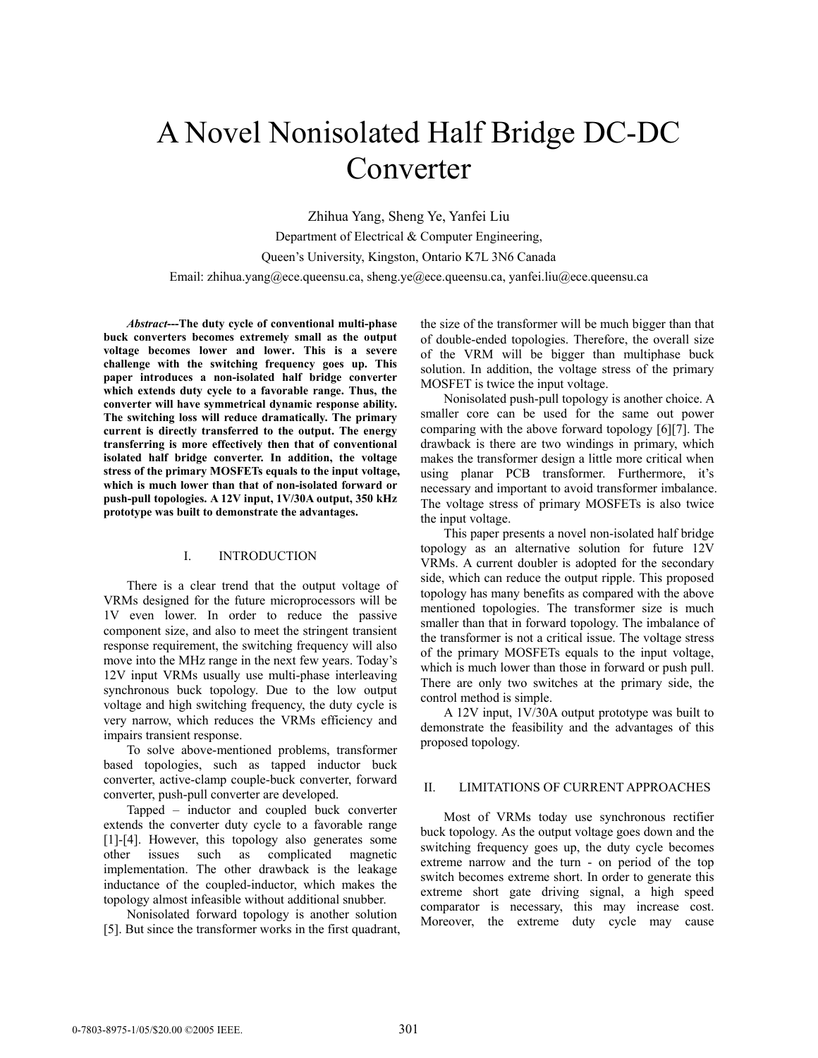# A Novel Nonisolated Half Bridge DC-DC Converter

Zhihua Yang, Sheng Ye, Yanfei Liu Department of Electrical & Computer Engineering, Queen's University, Kingston, Ontario K7L 3N6 Canada Email: zhihua.yang@ece.queensu.ca, sheng.ye@ece.queensu.ca, yanfei.liu@ece.queensu.ca

*Abstract***---The duty cycle of conventional multi-phase buck converters becomes extremely small as the output voltage becomes lower and lower. This is a severe challenge with the switching frequency goes up. This paper introduces a non-isolated half bridge converter which extends duty cycle to a favorable range. Thus, the converter will have symmetrical dynamic response ability. The switching loss will reduce dramatically. The primary current is directly transferred to the output. The energy transferring is more effectively then that of conventional isolated half bridge converter. In addition, the voltage stress of the primary MOSFETs equals to the input voltage, which is much lower than that of non-isolated forward or push-pull topologies. A 12V input, 1V/30A output, 350 kHz prototype was built to demonstrate the advantages.** 

#### I. INTRODUCTION

There is a clear trend that the output voltage of VRMs designed for the future microprocessors will be 1V even lower. In order to reduce the passive component size, and also to meet the stringent transient response requirement, the switching frequency will also move into the MHz range in the next few years. Today's 12V input VRMs usually use multi-phase interleaving synchronous buck topology. Due to the low output voltage and high switching frequency, the duty cycle is very narrow, which reduces the VRMs efficiency and impairs transient response.

To solve above-mentioned problems, transformer based topologies, such as tapped inductor buck converter, active-clamp couple-buck converter, forward converter, push-pull converter are developed.

Tapped – inductor and coupled buck converter extends the converter duty cycle to a favorable range [1]-[4]. However, this topology also generates some other issues such as complicated magnetic implementation. The other drawback is the leakage inductance of the coupled-inductor, which makes the topology almost infeasible without additional snubber.

Nonisolated forward topology is another solution [5]. But since the transformer works in the first quadrant, the size of the transformer will be much bigger than that of double-ended topologies. Therefore, the overall size of the VRM will be bigger than multiphase buck solution. In addition, the voltage stress of the primary MOSFET is twice the input voltage.

Nonisolated push-pull topology is another choice. A smaller core can be used for the same out power comparing with the above forward topology [6][7]. The drawback is there are two windings in primary, which makes the transformer design a little more critical when using planar PCB transformer. Furthermore, it's necessary and important to avoid transformer imbalance. The voltage stress of primary MOSFETs is also twice the input voltage.

This paper presents a novel non-isolated half bridge topology as an alternative solution for future 12V VRMs. A current doubler is adopted for the secondary side, which can reduce the output ripple. This proposed topology has many benefits as compared with the above mentioned topologies. The transformer size is much smaller than that in forward topology. The imbalance of the transformer is not a critical issue. The voltage stress of the primary MOSFETs equals to the input voltage, which is much lower than those in forward or push pull. There are only two switches at the primary side, the control method is simple.

A 12V input, 1V/30A output prototype was built to demonstrate the feasibility and the advantages of this proposed topology.

## II. LIMITATIONS OF CURRENT APPROACHES

Most of VRMs today use synchronous rectifier buck topology. As the output voltage goes down and the switching frequency goes up, the duty cycle becomes extreme narrow and the turn - on period of the top switch becomes extreme short. In order to generate this extreme short gate driving signal, a high speed comparator is necessary, this may increase cost. Moreover, the extreme duty cycle may cause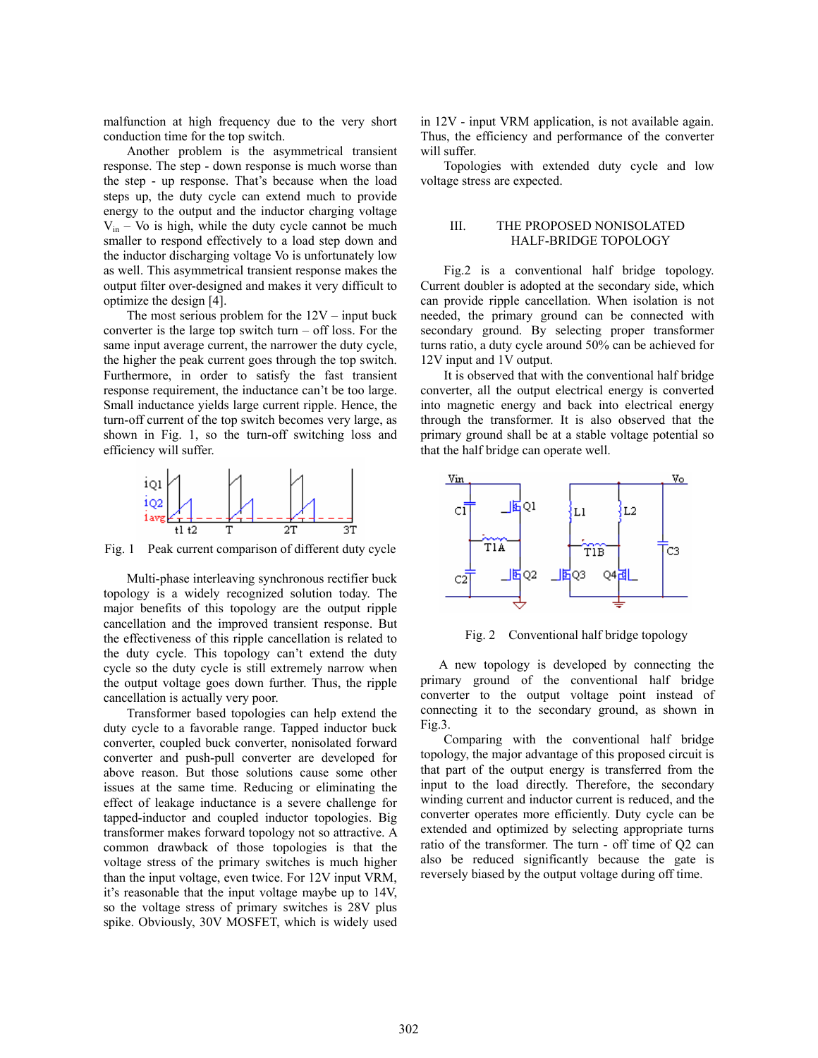malfunction at high frequency due to the very short conduction time for the top switch.

Another problem is the asymmetrical transient response. The step - down response is much worse than the step - up response. That's because when the load steps up, the duty cycle can extend much to provide energy to the output and the inductor charging voltage  $V_{in}$  – Vo is high, while the duty cycle cannot be much smaller to respond effectively to a load step down and the inductor discharging voltage Vo is unfortunately low as well. This asymmetrical transient response makes the output filter over-designed and makes it very difficult to optimize the design [4].

The most serious problem for the  $12V - input$  buck converter is the large top switch turn  $-$  off loss. For the same input average current, the narrower the duty cycle, the higher the peak current goes through the top switch. Furthermore, in order to satisfy the fast transient response requirement, the inductance can't be too large. Small inductance yields large current ripple. Hence, the turn-off current of the top switch becomes very large, as shown in Fig. 1, so the turn-off switching loss and efficiency will suffer.



Fig. 1 Peak current comparison of different duty cycle

Multi-phase interleaving synchronous rectifier buck topology is a widely recognized solution today. The major benefits of this topology are the output ripple cancellation and the improved transient response. But the effectiveness of this ripple cancellation is related to the duty cycle. This topology can't extend the duty cycle so the duty cycle is still extremely narrow when the output voltage goes down further. Thus, the ripple cancellation is actually very poor.

Transformer based topologies can help extend the duty cycle to a favorable range. Tapped inductor buck converter, coupled buck converter, nonisolated forward converter and push-pull converter are developed for above reason. But those solutions cause some other issues at the same time. Reducing or eliminating the effect of leakage inductance is a severe challenge for tapped-inductor and coupled inductor topologies. Big transformer makes forward topology not so attractive. A common drawback of those topologies is that the voltage stress of the primary switches is much higher than the input voltage, even twice. For 12V input VRM, it's reasonable that the input voltage maybe up to 14V, so the voltage stress of primary switches is 28V plus spike. Obviously, 30V MOSFET, which is widely used

in 12V - input VRM application, is not available again. Thus, the efficiency and performance of the converter will suffer.

Topologies with extended duty cycle and low voltage stress are expected.

### III. THE PROPOSED NONISOLATED HALF-BRIDGE TOPOLOGY

Fig.2 is a conventional half bridge topology. Current doubler is adopted at the secondary side, which can provide ripple cancellation. When isolation is not needed, the primary ground can be connected with secondary ground. By selecting proper transformer turns ratio, a duty cycle around 50% can be achieved for 12V input and 1V output.

It is observed that with the conventional half bridge converter, all the output electrical energy is converted into magnetic energy and back into electrical energy through the transformer. It is also observed that the primary ground shall be at a stable voltage potential so that the half bridge can operate well.



Fig. 2 Conventional half bridge topology

A new topology is developed by connecting the primary ground of the conventional half bridge converter to the output voltage point instead of connecting it to the secondary ground, as shown in Fig.3.

Comparing with the conventional half bridge topology, the major advantage of this proposed circuit is that part of the output energy is transferred from the input to the load directly. Therefore, the secondary winding current and inductor current is reduced, and the converter operates more efficiently. Duty cycle can be extended and optimized by selecting appropriate turns ratio of the transformer. The turn - off time of Q2 can also be reduced significantly because the gate is reversely biased by the output voltage during off time.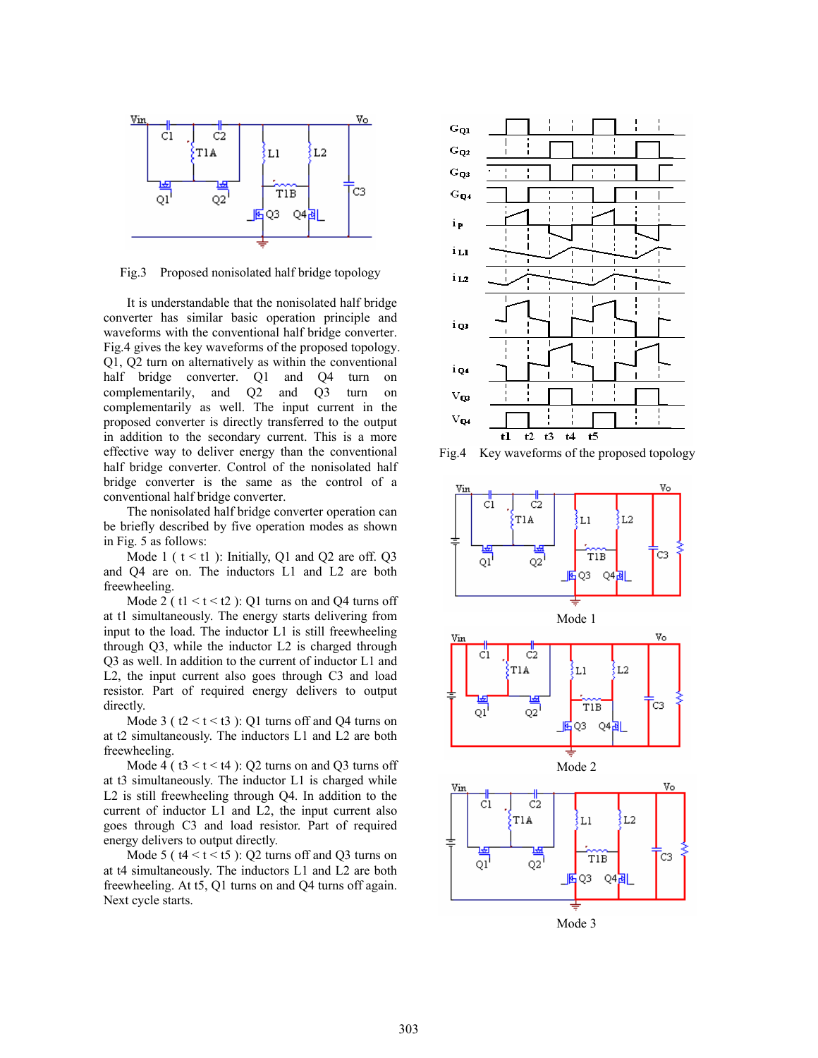

Fig.3 Proposed nonisolated half bridge topology

It is understandable that the nonisolated half bridge converter has similar basic operation principle and waveforms with the conventional half bridge converter. Fig.4 gives the key waveforms of the proposed topology. Q1, Q2 turn on alternatively as within the conventional half bridge converter. Q1 and Q4 turn on complementarily, and Q2 and Q3 turn on complementarily as well. The input current in the proposed converter is directly transferred to the output in addition to the secondary current. This is a more effective way to deliver energy than the conventional half bridge converter. Control of the nonisolated half bridge converter is the same as the control of a conventional half bridge converter.

The nonisolated half bridge converter operation can be briefly described by five operation modes as shown in Fig. 5 as follows:

Mode 1 ( $t < t$ 1): Initially, Q1 and Q2 are off. Q3 and Q4 are on. The inductors L1 and L2 are both freewheeling.

Mode 2 ( $t1 \le t \le 2$ ): Q1 turns on and Q4 turns off at t1 simultaneously. The energy starts delivering from input to the load. The inductor L1 is still freewheeling through Q3, while the inductor L2 is charged through Q3 as well. In addition to the current of inductor L1 and L2, the input current also goes through C3 and load resistor. Part of required energy delivers to output directly.

Mode 3 ( $t2 < t < t3$ ): Q1 turns off and Q4 turns on at t2 simultaneously. The inductors L1 and L2 are both freewheeling.

Mode 4 ( $t3 < t < t4$ ): Q2 turns on and Q3 turns off at t3 simultaneously. The inductor L1 is charged while L2 is still freewheeling through Q4. In addition to the current of inductor L1 and L2, the input current also goes through C3 and load resistor. Part of required energy delivers to output directly.

Mode 5 ( $t4 < t < t5$ ): Q2 turns off and Q3 turns on at t4 simultaneously. The inductors L1 and L2 are both freewheeling. At t5, Q1 turns on and Q4 turns off again. Next cycle starts.



Fig.4 Key waveforms of the proposed topology



Mode 3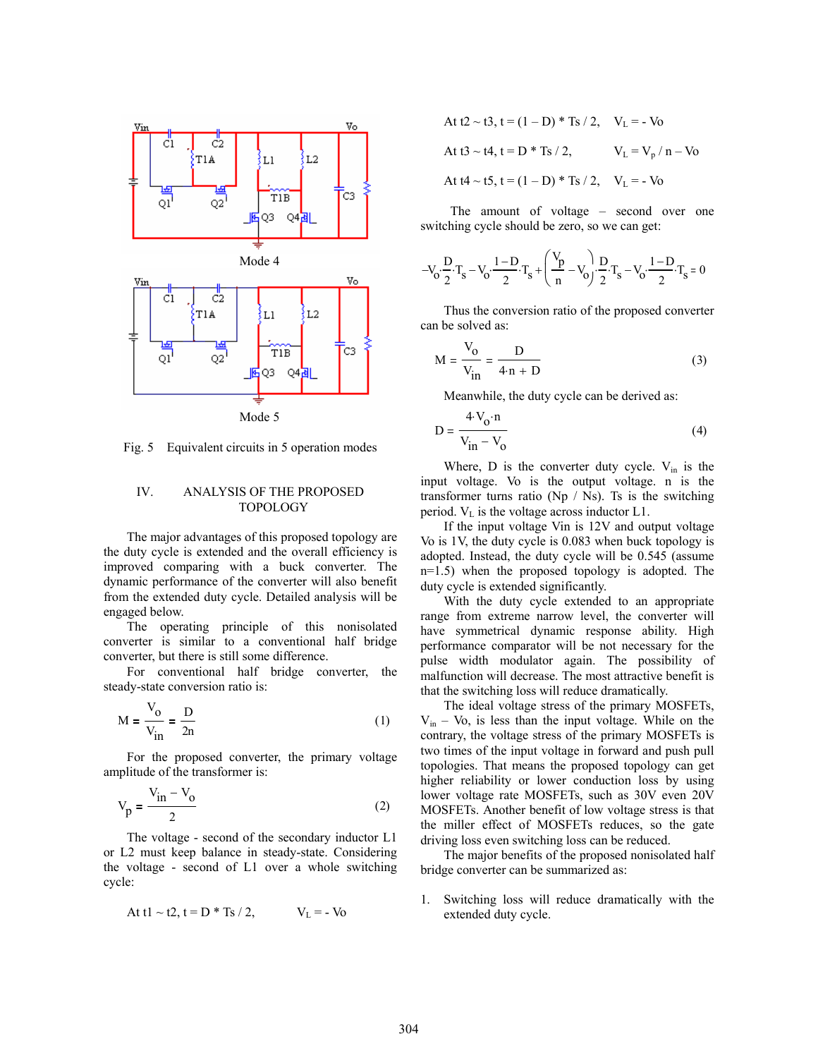

Fig. 5 Equivalent circuits in 5 operation modes

## IV. ANALYSIS OF THE PROPOSED TOPOLOGY

The major advantages of this proposed topology are the duty cycle is extended and the overall efficiency is improved comparing with a buck converter. The dynamic performance of the converter will also benefit from the extended duty cycle. Detailed analysis will be engaged below.

The operating principle of this nonisolated converter is similar to a conventional half bridge converter, but there is still some difference.

For conventional half bridge converter, the steady-state conversion ratio is:

$$
M = \frac{V_o}{V_{in}} = \frac{D}{2n}
$$
 (1)

For the proposed converter, the primary voltage amplitude of the transformer is:

$$
V_p = \frac{V_{in} - V_o}{2}
$$
 (2)

The voltage - second of the secondary inductor L1 or L2 must keep balance in steady-state. Considering the voltage - second of L1 over a whole switching cycle:

At 
$$
t1 \sim t2
$$
,  $t = D * Ts / 2$ ,  $V_L = -V_0$ 

At t2 ~ t3, t = (1 – D) \* Ts / 2, 
$$
V_L = -V_0
$$
  
\nAt t3 ~ t4, t = D \* Ts / 2,  $V_L = V_p / n - V_0$   
\nAt t4 ~ t5, t = (1 – D) \* Ts / 2,  $V_L = -V_0$ 

 The amount of voltage – second over one switching cycle should be zero, so we can get:

$$
-V_0 \cdot \frac{D}{2} \cdot T_s - V_0 \cdot \frac{1 - D}{2} \cdot T_s + \left(\frac{V_p}{n} - V_0\right) \cdot \frac{D}{2} \cdot T_s - V_0 \cdot \frac{1 - D}{2} \cdot T_s = 0
$$

Thus the conversion ratio of the proposed converter can be solved as:

$$
M = \frac{V_0}{V_{in}} = \frac{D}{4 \cdot n + D}
$$
 (3)

Meanwhile, the duty cycle can be derived as:

$$
D = \frac{4 V_0 \cdot n}{V_{in} - V_0} \tag{4}
$$

Where,  $D$  is the converter duty cycle.  $V_{in}$  is the input voltage. Vo is the output voltage. n is the transformer turns ratio (Np  $/$  Ns). Ts is the switching period.  $V_L$  is the voltage across inductor L1.

If the input voltage Vin is 12V and output voltage Vo is 1V, the duty cycle is 0.083 when buck topology is adopted. Instead, the duty cycle will be 0.545 (assume n=1.5) when the proposed topology is adopted. The duty cycle is extended significantly.

With the duty cycle extended to an appropriate range from extreme narrow level, the converter will have symmetrical dynamic response ability. High performance comparator will be not necessary for the pulse width modulator again. The possibility of malfunction will decrease. The most attractive benefit is that the switching loss will reduce dramatically.

The ideal voltage stress of the primary MOSFETs,  $V_{in}$  – Vo, is less than the input voltage. While on the contrary, the voltage stress of the primary MOSFETs is two times of the input voltage in forward and push pull topologies. That means the proposed topology can get higher reliability or lower conduction loss by using lower voltage rate MOSFETs, such as 30V even 20V MOSFETs. Another benefit of low voltage stress is that the miller effect of MOSFETs reduces, so the gate driving loss even switching loss can be reduced.

The major benefits of the proposed nonisolated half bridge converter can be summarized as:

1. Switching loss will reduce dramatically with the extended duty cycle.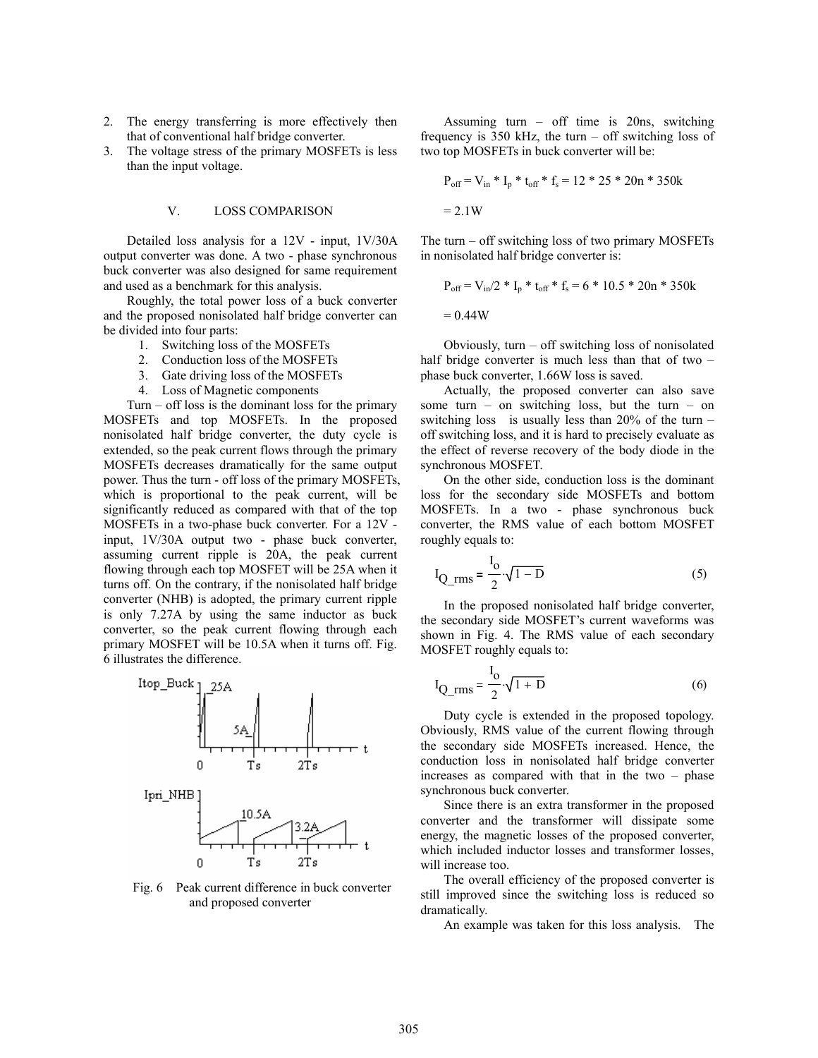- 2. The energy transferring is more effectively then that of conventional half bridge converter.
- 3. The voltage stress of the primary MOSFETs is less than the input voltage.

#### V. LOSS COMPARISON

Detailed loss analysis for a 12V - input, 1V/30A output converter was done. A two - phase synchronous buck converter was also designed for same requirement and used as a benchmark for this analysis.

Roughly, the total power loss of a buck converter and the proposed nonisolated half bridge converter can be divided into four parts:

- 1. Switching loss of the MOSFETs
- 2. Conduction loss of the MOSFETs
- 3. Gate driving loss of the MOSFETs
- 4. Loss of Magnetic components

Turn – off loss is the dominant loss for the primary MOSFETs and top MOSFETs. In the proposed nonisolated half bridge converter, the duty cycle is extended, so the peak current flows through the primary MOSFETs decreases dramatically for the same output power. Thus the turn - off loss of the primary MOSFETs, which is proportional to the peak current, will be significantly reduced as compared with that of the top MOSFETs in a two-phase buck converter. For a 12V input, 1V/30A output two - phase buck converter, assuming current ripple is 20A, the peak current flowing through each top MOSFET will be 25A when it turns off. On the contrary, if the nonisolated half bridge converter (NHB) is adopted, the primary current ripple is only 7.27A by using the same inductor as buck converter, so the peak current flowing through each primary MOSFET will be 10.5A when it turns off. Fig. 6 illustrates the difference.



Fig. 6 Peak current difference in buck converter and proposed converter

Assuming turn – off time is 20ns, switching frequency is 350 kHz, the turn – off switching loss of two top MOSFETs in buck converter will be:

$$
P_{off} = V_{in} * I_p * t_{off} * f_s = 12 * 25 * 20n * 350k
$$
  
= 2.1 W

The turn – off switching loss of two primary MOSFETs in nonisolated half bridge converter is:

$$
P_{off} = V_{in}/2 * I_p * t_{off} * f_s = 6 * 10.5 * 20n * 350k
$$
  
= 0.44W

Obviously, turn  $-$  off switching loss of nonisolated half bridge converter is much less than that of two phase buck converter, 1.66W loss is saved.

Actually, the proposed converter can also save some turn – on switching loss, but the turn – on switching loss is usually less than  $20\%$  of the turn – off switching loss, and it is hard to precisely evaluate as the effect of reverse recovery of the body diode in the synchronous MOSFET.

On the other side, conduction loss is the dominant loss for the secondary side MOSFETs and bottom MOSFETs. In a two - phase synchronous buck converter, the RMS value of each bottom MOSFET roughly equals to:

$$
I_{Q_{rms}} = \frac{I_0}{2} \sqrt{1 - D}
$$
 (5)

In the proposed nonisolated half bridge converter, the secondary side MOSFET's current waveforms was shown in Fig. 4. The RMS value of each secondary MOSFET roughly equals to:

$$
I_{Q_{rms}} = \frac{I_0}{2} \sqrt{1 + D}
$$
 (6)

Duty cycle is extended in the proposed topology. Obviously, RMS value of the current flowing through the secondary side MOSFETs increased. Hence, the conduction loss in nonisolated half bridge converter increases as compared with that in the two – phase synchronous buck converter.

Since there is an extra transformer in the proposed converter and the transformer will dissipate some energy, the magnetic losses of the proposed converter, which included inductor losses and transformer losses, will increase too.

The overall efficiency of the proposed converter is still improved since the switching loss is reduced so dramatically.

An example was taken for this loss analysis. The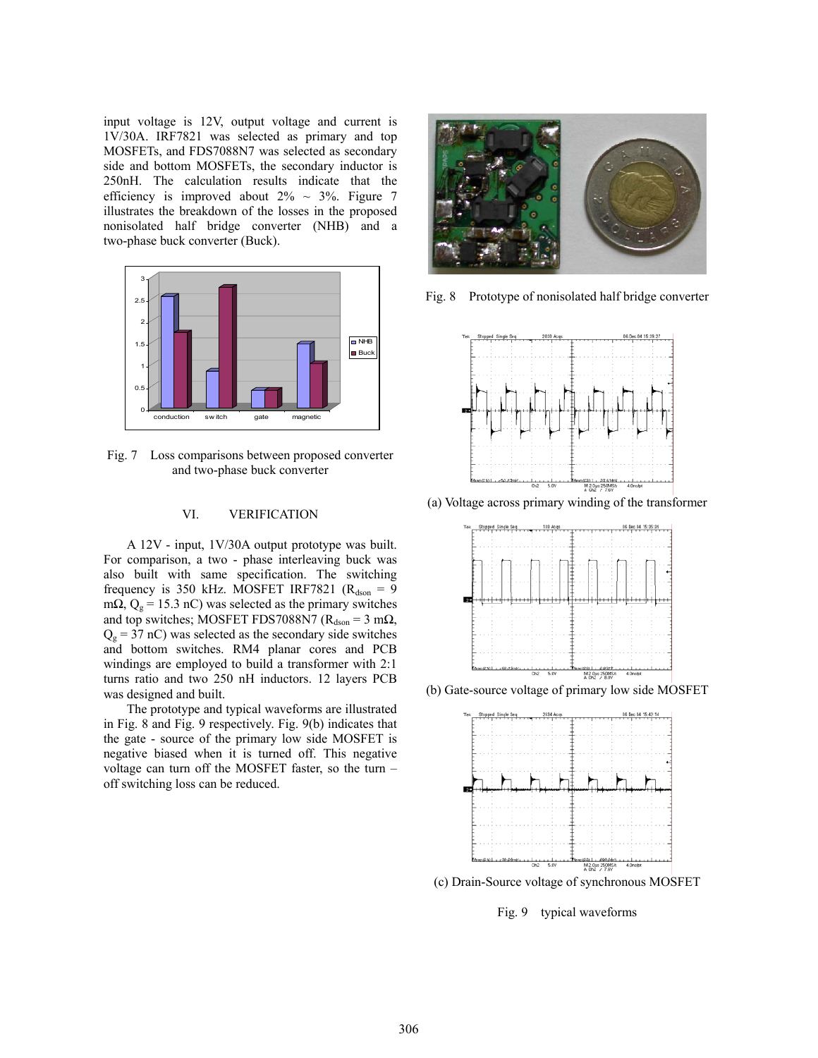input voltage is 12V, output voltage and current is 1V/30A. IRF7821 was selected as primary and top MOSFETs, and FDS7088N7 was selected as secondary side and bottom MOSFETs, the secondary inductor is 250nH. The calculation results indicate that the efficiency is improved about  $2\% \sim 3\%$ . Figure 7 illustrates the breakdown of the losses in the proposed nonisolated half bridge converter (NHB) and a two-phase buck converter (Buck).



Fig. 7 Loss comparisons between proposed converter and two-phase buck converter

# VI. VERIFICATION

A 12V - input, 1V/30A output prototype was built. For comparison, a two - phase interleaving buck was also built with same specification. The switching frequency is 350 kHz. MOSFET IRF7821 ( $R_{dson} = 9$ m $\Omega$ ,  $Q_g$  = 15.3 nC) was selected as the primary switches and top switches; MOSFET FDS7088N7 ( $R_{dson} = 3$  m $\Omega$ ,  $Q<sub>g</sub> = 37$  nC) was selected as the secondary side switches and bottom switches. RM4 planar cores and PCB windings are employed to build a transformer with 2:1 turns ratio and two 250 nH inductors. 12 layers PCB was designed and built.

The prototype and typical waveforms are illustrated in Fig. 8 and Fig. 9 respectively. Fig. 9(b) indicates that the gate - source of the primary low side MOSFET is negative biased when it is turned off. This negative voltage can turn off the MOSFET faster, so the turn – off switching loss can be reduced.



Fig. 8 Prototype of nonisolated half bridge converter



(a) Voltage across primary winding of the transformer



(b) Gate-source voltage of primary low side MOSFET



(c) Drain-Source voltage of synchronous MOSFET

Fig. 9 typical waveforms